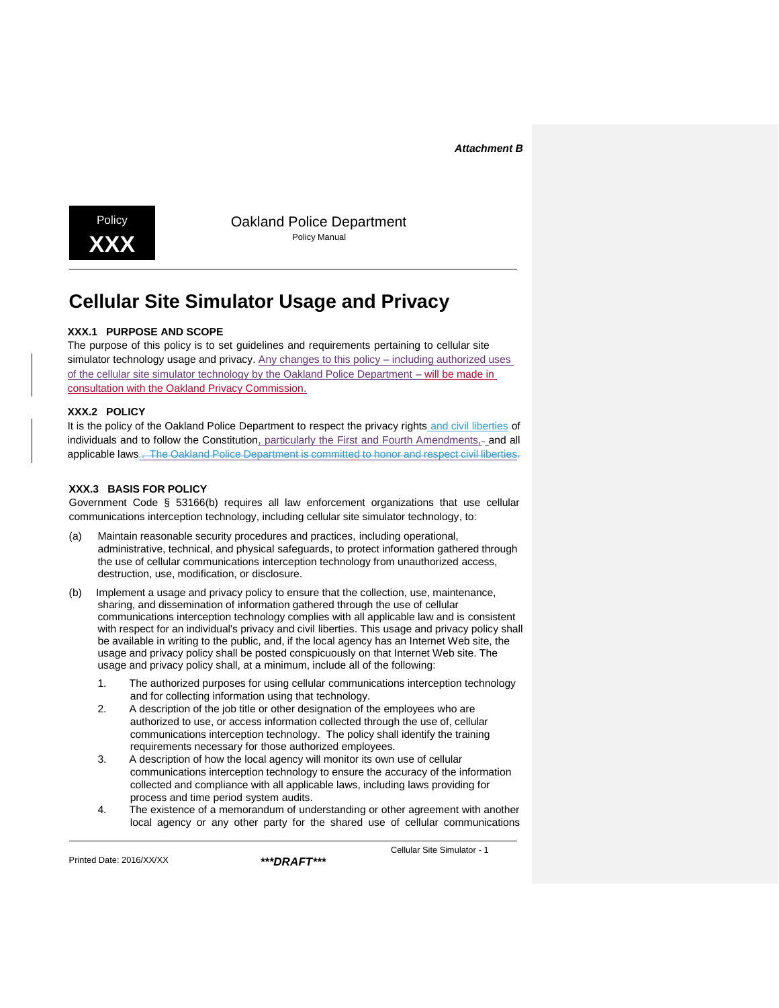*Attachment B*



Policy **Dakland Police Department** 

# **Cellular Site Simulator Usage and Privacy**

# **XXX.1 PURPOSE AND SCOPE**

The purpose of this policy is to set guidelines and requirements pertaining to cellular site simulator technology usage and privacy. Any changes to this policy – including authorized uses of the cellular site simulator technology by the Oakland Police Department – will be made in consultation with the Oakland Privacy Commission.

## **XXX.2 POLICY**

It is the policy of the Oakland Police Department to respect the privacy rights and civil liberties of individuals and to follow the Constitution, particularly the First and Fourth Amendments,- and all applicable laws.<del>. The Oakland Police Department is committed to honor and respect civil liberties.</del>

## **XXX.3 BASIS FOR POLICY**

Government Code § 53166(b) requires all law enforcement organizations that use cellular communications interception technology, including cellular site simulator technology, to:

- (a) Maintain reasonable security procedures and practices, including operational, administrative, technical, and physical safeguards, to protect information gathered through the use of cellular communications interception technology from unauthorized access, destruction, use, modification, or disclosure.
- (b) Implement a usage and privacy policy to ensure that the collection, use, maintenance, sharing, and dissemination of information gathered through the use of cellular communications interception technology complies with all applicable law and is consistent with respect for an individual's privacy and civil liberties. This usage and privacy policy shall be available in writing to the public, and, if the local agency has an Internet Web site, the usage and privacy policy shall be posted conspicuously on that Internet Web site. The usage and privacy policy shall, at a minimum, include all of the following:
	- 1. The authorized purposes for using cellular communications interception technology and for collecting information using that technology.
	- 2. A description of the job title or other designation of the employees who are authorized to use, or access information collected through the use of, cellular communications interception technology. The policy shall identify the training requirements necessary for those authorized employees.
	- 3. A description of how the local agency will monitor its own use of cellular communications interception technology to ensure the accuracy of the information collected and compliance with all applicable laws, including laws providing for process and time period system audits.
	- 4. The existence of a memorandum of understanding or other agreement with another local agency or any other party for the shared use of cellular communications

Printed Date: 2016/XX/XX *\*\*\*DRAFT\*\*\**

Cellular Site Simulator - 1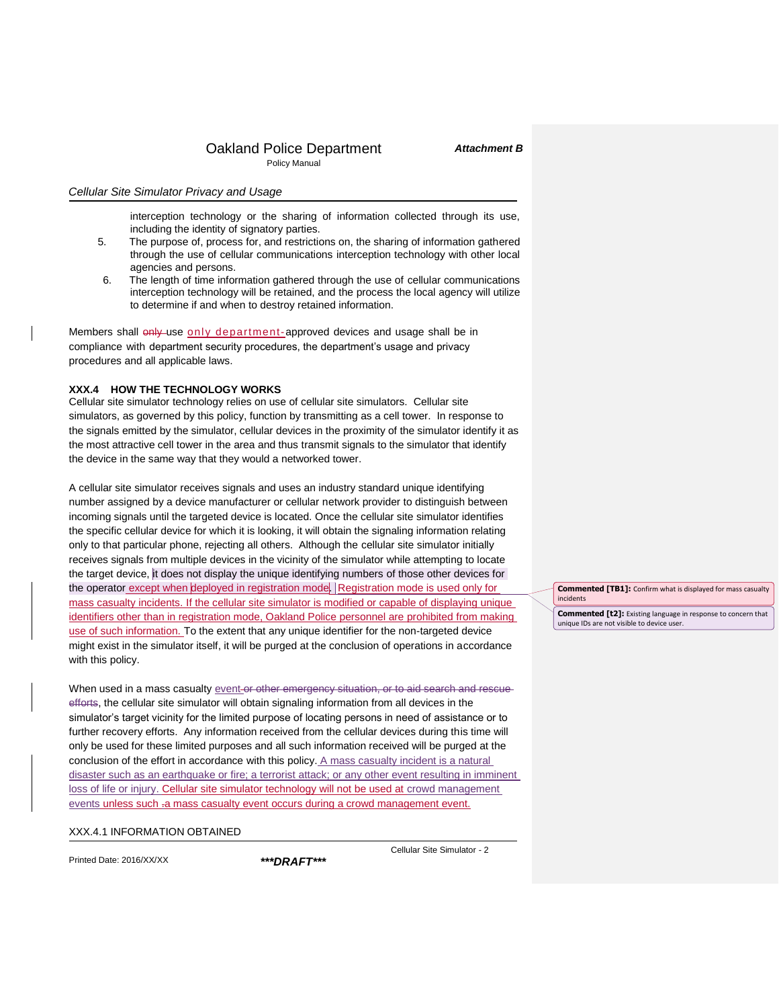#### *Attachment B*

*Cellular Site Simulator Privacy and Usage*

interception technology or the sharing of information collected through its use, including the identity of signatory parties.

- 5. The purpose of, process for, and restrictions on, the sharing of information gathered through the use of cellular communications interception technology with other local agencies and persons.
- 6. The length of time information gathered through the use of cellular communications interception technology will be retained, and the process the local agency will utilize to determine if and when to destroy retained information.

Members shall only use only department-approved devices and usage shall be in compliance with department security procedures, the department's usage and privacy procedures and all applicable laws.

#### **XXX.4 HOW THE TECHNOLOGY WORKS**

Cellular site simulator technology relies on use of cellular site simulators. Cellular site simulators, as governed by this policy, function by transmitting as a cell tower. In response to the signals emitted by the simulator, cellular devices in the proximity of the simulator identify it as the most attractive cell tower in the area and thus transmit signals to the simulator that identify the device in the same way that they would a networked tower.

A cellular site simulator receives signals and uses an industry standard unique identifying number assigned by a device manufacturer or cellular network provider to distinguish between incoming signals until the targeted device is located. Once the cellular site simulator identifies the specific cellular device for which it is looking, it will obtain the signaling information relating only to that particular phone, rejecting all others. Although the cellular site simulator initially receives signals from multiple devices in the vicinity of the simulator while attempting to locate the target device, it does not display the unique identifying numbers of those other devices for the operator except when deployed in registration mode. Registration mode is used only for mass casualty incidents. If the cellular site simulator is modified or capable of displaying unique identifiers other than in registration mode, Oakland Police personnel are prohibited from making use of such information. To the extent that any unique identifier for the non-targeted device might exist in the simulator itself, it will be purged at the conclusion of operations in accordance with this policy.

When used in a mass casualty event-or other emergency situation, or to aid search and rescueefforts, the cellular site simulator will obtain signaling information from all devices in the simulator's target vicinity for the limited purpose of locating persons in need of assistance or to further recovery efforts. Any information received from the cellular devices during this time will only be used for these limited purposes and all such information received will be purged at the conclusion of the effort in accordance with this policy. A mass casualty incident is a natural disaster such as an earthquake or fire; a terrorist attack; or any other event resulting in imminent loss of life or injury. Cellular site simulator technology will not be used at crowd management events unless such .a mass casualty event occurs during a crowd management event.

#### XXX.4.1 INFORMATION OBTAINED

Printed Date: 2016/XX/XX *\*\*\*DRAFT\*\*\**

Cellular Site Simulator - 2

**Commented [TB1]:** Confirm what is displayed for mass casualty incidents

**Commented [t2]:** Existing language in response to concern that unique IDs are not visible to device user.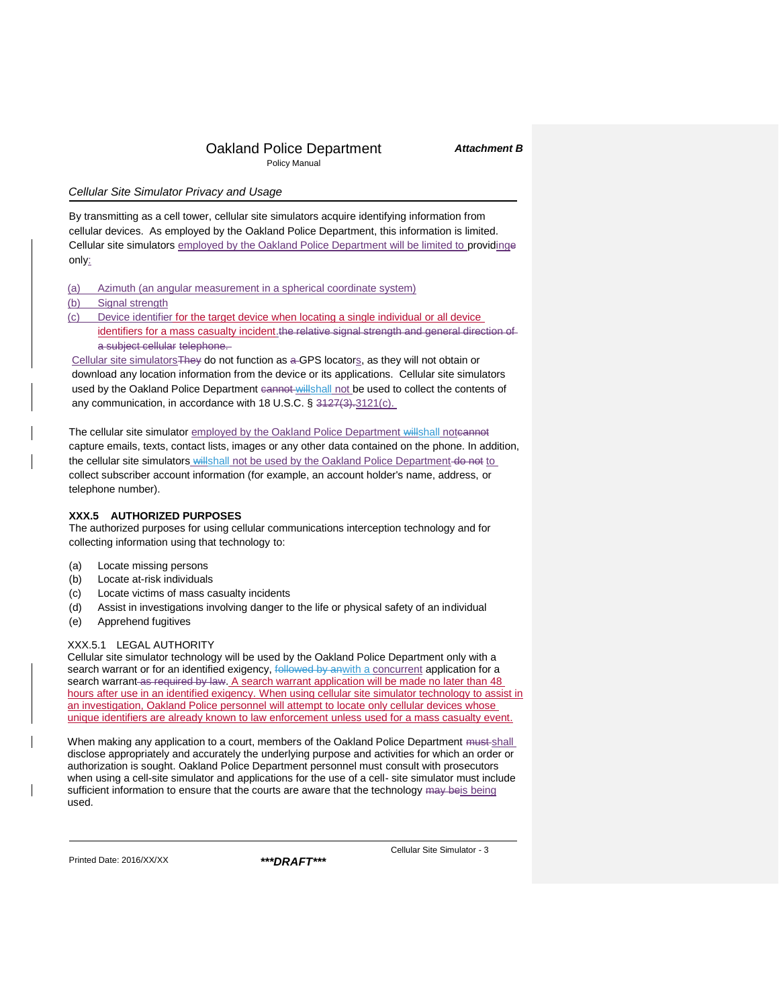### *Attachment B*

# *Cellular Site Simulator Privacy and Usage*

By transmitting as a cell tower, cellular site simulators acquire identifying information from cellular devices. As employed by the Oakland Police Department, this information is limited. Cellular site simulators employed by the Oakland Police Department will be limited to providinge only:

| (a) |  | Azimuth (an angular measurement in a spherical coordinate system) |  |  |
|-----|--|-------------------------------------------------------------------|--|--|

#### (b) Signal strength

(c) Device identifier for the target device when locating a single individual or all device identifiers for a mass casualty incident.the relative signal strength and general direction of a subject cellular telephone.

Cellular site simulators They do not function as a GPS locators, as they will not obtain or download any location information from the device or its applications. Cellular site simulators used by the Oakland Police Department cannot willshall not be used to collect the contents of any communication, in accordance with 18 U.S.C. § 3127(3).3121(c).

The cellular site simulator employed by the Oakland Police Department willshall noteannot capture emails, texts, contact lists, images or any other data contained on the phone. In addition, the cellular site simulators willshall not be used by the Oakland Police Department do not to collect subscriber account information (for example, an account holder's name, address, or telephone number).

## **XXX.5 AUTHORIZED PURPOSES**

The authorized purposes for using cellular communications interception technology and for collecting information using that technology to:

- (a) Locate missing persons
- (b) Locate at-risk individuals
- (c) Locate victims of mass casualty incidents
- (d) Assist in investigations involving danger to the life or physical safety of an individual
- (e) Apprehend fugitives

### XXX.5.1 LEGAL AUTHORITY

Cellular site simulator technology will be used by the Oakland Police Department only with a search warrant or for an identified exigency, followed by anwith a concurrent application for a search warrant as required by law. A search warrant application will be made no later than 48 hours after use in an identified exigency. When using cellular site simulator technology to assist in an investigation, Oakland Police personnel will attempt to locate only cellular devices whose unique identifiers are already known to law enforcement unless used for a mass casualty event.

When making any application to a court, members of the Oakland Police Department must-shall disclose appropriately and accurately the underlying purpose and activities for which an order or authorization is sought. Oakland Police Department personnel must consult with prosecutors when using a cell-site simulator and applications for the use of a cell- site simulator must include sufficient information to ensure that the courts are aware that the technology may beis being used.

Printed Date: 2016/XX/XX *\*\*\*DRAFT\*\*\**

Cellular Site Simulator - 3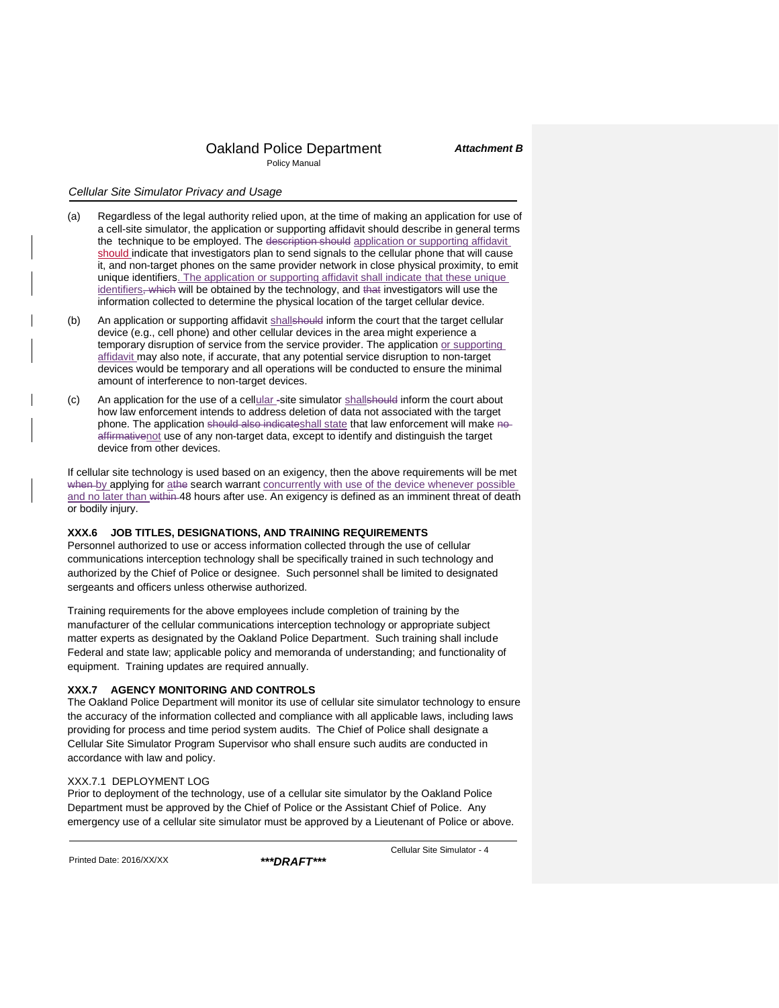### *Cellular Site Simulator Privacy and Usage*

- (a) Regardless of the legal authority relied upon, at the time of making an application for use of a cell-site simulator, the application or supporting affidavit should describe in general terms the technique to be employed. The description should application or supporting affidavit should indicate that investigators plan to send signals to the cellular phone that will cause it, and non-target phones on the same provider network in close physical proximity, to emit unique identifiers. The application or supporting affidavit shall indicate that these unique identifiers, which will be obtained by the technology, and that investigators will use the information collected to determine the physical location of the target cellular device.
- (b) An application or supporting affidavit shallshould inform the court that the target cellular device (e.g., cell phone) and other cellular devices in the area might experience a temporary disruption of service from the service provider. The application or supporting affidavit may also note, if accurate, that any potential service disruption to non-target devices would be temporary and all operations will be conducted to ensure the minimal amount of interference to non-target devices.
- (c) An application for the use of a cellular -site simulator shallshould inform the court about how law enforcement intends to address deletion of data not associated with the target phone. The application should also indicateshall state that law enforcement will make noaffirmativenot use of any non-target data, except to identify and distinguish the target device from other devices.

If cellular site technology is used based on an exigency, then the above requirements will be met when by applying for athe search warrant concurrently with use of the device whenever possible and no later than within 48 hours after use. An exigency is defined as an imminent threat of death or bodily injury.

## **XXX.6 JOB TITLES, DESIGNATIONS, AND TRAINING REQUIREMENTS**

Personnel authorized to use or access information collected through the use of cellular communications interception technology shall be specifically trained in such technology and authorized by the Chief of Police or designee. Such personnel shall be limited to designated sergeants and officers unless otherwise authorized.

Training requirements for the above employees include completion of training by the manufacturer of the cellular communications interception technology or appropriate subject matter experts as designated by the Oakland Police Department. Such training shall include Federal and state law; applicable policy and memoranda of understanding; and functionality of equipment. Training updates are required annually.

#### **XXX.7 AGENCY MONITORING AND CONTROLS**

The Oakland Police Department will monitor its use of cellular site simulator technology to ensure the accuracy of the information collected and compliance with all applicable laws, including laws providing for process and time period system audits. The Chief of Police shall designate a Cellular Site Simulator Program Supervisor who shall ensure such audits are conducted in accordance with law and policy.

#### XXX.7.1 DEPLOYMENT LOG

Prior to deployment of the technology, use of a cellular site simulator by the Oakland Police Department must be approved by the Chief of Police or the Assistant Chief of Police. Any emergency use of a cellular site simulator must be approved by a Lieutenant of Police or above.

Printed Date: 2016/XX/XX *\*\*\*DRAFT\*\*\**

Cellular Site Simulator - 4

*Attachment B*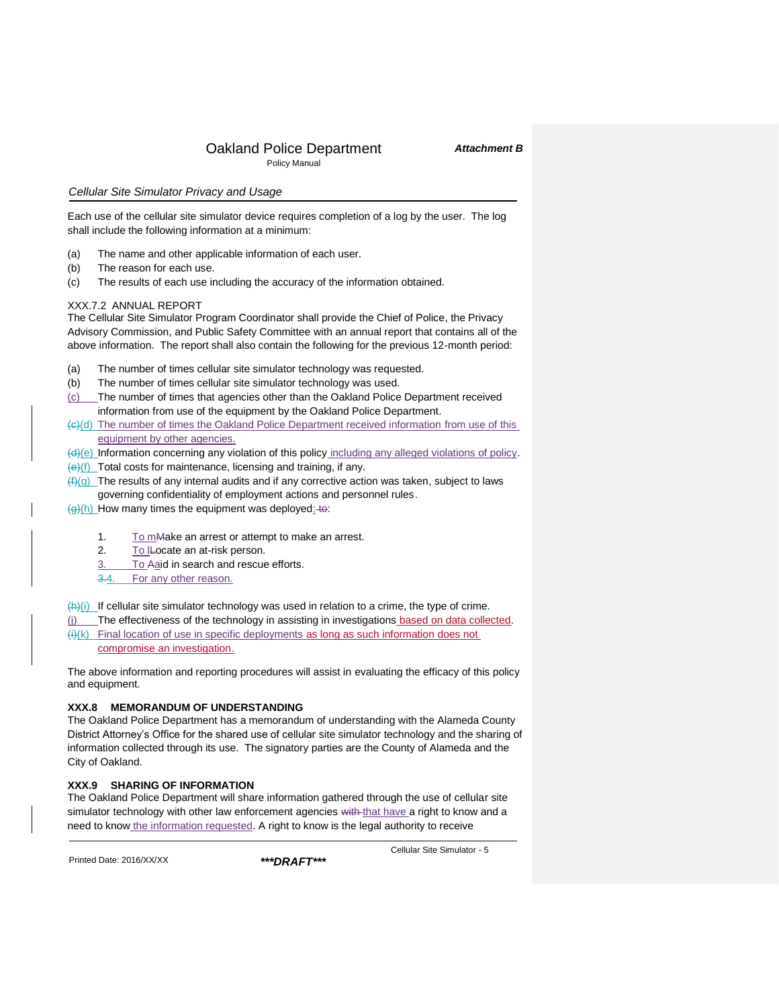# *Attachment B*

## *Cellular Site Simulator Privacy and Usage*

Each use of the cellular site simulator device requires completion of a log by the user. The log shall include the following information at a minimum:

- (a) The name and other applicable information of each user.
- (b) The reason for each use.
- (c) The results of each use including the accuracy of the information obtained.

## XXX.7.2 ANNUAL REPORT

The Cellular Site Simulator Program Coordinator shall provide the Chief of Police, the Privacy Advisory Commission, and Public Safety Committee with an annual report that contains all of the above information. The report shall also contain the following for the previous 12-month period:

- (a) The number of times cellular site simulator technology was requested.
- (b) The number of times cellular site simulator technology was used.
- (c) The number of times that agencies other than the Oakland Police Department received information from use of the equipment by the Oakland Police Department.
- (c)(d) The number of times the Oakland Police Department received information from use of this equipment by other agencies.
- (d)(e) Information concerning any violation of this policy including any alleged violations of policy.
- $\left\langle \Theta \right\rangle$ (f) Total costs for maintenance, licensing and training, if any.
- $(f)(g)$  The results of any internal audits and if any corrective action was taken, subject to laws governing confidentiality of employment actions and personnel rules.

 $\frac{1}{2}$ (h) How many times the equipment was deployed: to:

- 1. To mMake an arrest or attempt to make an arrest.
- 2. To ILocate an at-risk person.
- 3. To Aaid in search and rescue efforts.
- 3.4. For any other reason.

 $\frac{f(h)(i)}{i}$  If cellular site simulator technology was used in relation to a crime, the type of crime.

(j) The effectiveness of the technology in assisting in investigations based on data collected.  $(i)(k)$  Final location of use in specific deployments as long as such information does not compromise an investigation.

The above information and reporting procedures will assist in evaluating the efficacy of this policy and equipment.

# **XXX.8 MEMORANDUM OF UNDERSTANDING**

The Oakland Police Department has a memorandum of understanding with the Alameda County District Attorney's Office for the shared use of cellular site simulator technology and the sharing of information collected through its use. The signatory parties are the County of Alameda and the City of Oakland.

# **XXX.9 SHARING OF INFORMATION**

The Oakland Police Department will share information gathered through the use of cellular site simulator technology with other law enforcement agencies with that have a right to know and a need to know the information requested. A right to know is the legal authority to receive

Printed Date: 2016/XX/XX *\*\*\*DRAFT\*\*\**

Cellular Site Simulator - 5